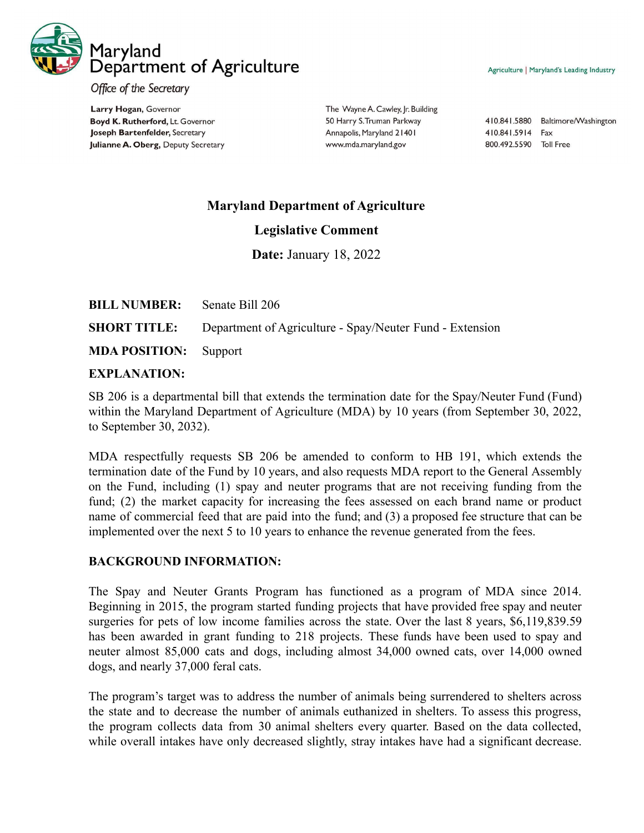

Agriculture | Maryland's Leading Industry

Office of the Secretary

Larry Hogan, Governor Boyd K. Rutherford, Lt. Governor Joseph Bartenfelder, Secretary Julianne A. Oberg, Deputy Secretary The Wayne A. Cawley, Jr. Building 50 Harry S. Truman Parkway Annapolis, Maryland 21401 www.mda.maryland.gov

410.841.5880 Baltimore/Washington 410.841.5914 Fax 800.492.5590 Toll Free

## **Maryland Department of Agriculture**

## **Legislative Comment**

**Date:** January 18, 2022

| <b>BILL NUMBER:</b> Senate Bill 206 |                                                                              |
|-------------------------------------|------------------------------------------------------------------------------|
|                                     | <b>SHORT TITLE:</b> Department of Agriculture - Spay/Neuter Fund - Extension |
| <b>MDA POSITION:</b> Support        |                                                                              |

## **EXPLANATION:**

SB 206 is a departmental bill that extends the termination date for the Spay/Neuter Fund (Fund) within the Maryland Department of Agriculture (MDA) by 10 years (from September 30, 2022, to September 30, 2032).

MDA respectfully requests SB 206 be amended to conform to HB 191, which extends the termination date of the Fund by 10 years, and also requests MDA report to the General Assembly on the Fund, including (1) spay and neuter programs that are not receiving funding from the fund; (2) the market capacity for increasing the fees assessed on each brand name or product name of commercial feed that are paid into the fund; and (3) a proposed fee structure that can be implemented over the next 5 to 10 years to enhance the revenue generated from the fees.

## **BACKGROUND INFORMATION:**

The Spay and Neuter Grants Program has functioned as a program of MDA since 2014. Beginning in 2015, the program started funding projects that have provided free spay and neuter surgeries for pets of low income families across the state. Over the last 8 years, \$6,119,839.59 has been awarded in grant funding to 218 projects. These funds have been used to spay and neuter almost 85,000 cats and dogs, including almost 34,000 owned cats, over 14,000 owned dogs, and nearly 37,000 feral cats.

The program's target was to address the number of animals being surrendered to shelters across the state and to decrease the number of animals euthanized in shelters. To assess this progress, the program collects data from 30 animal shelters every quarter. Based on the data collected, while overall intakes have only decreased slightly, stray intakes have had a significant decrease.